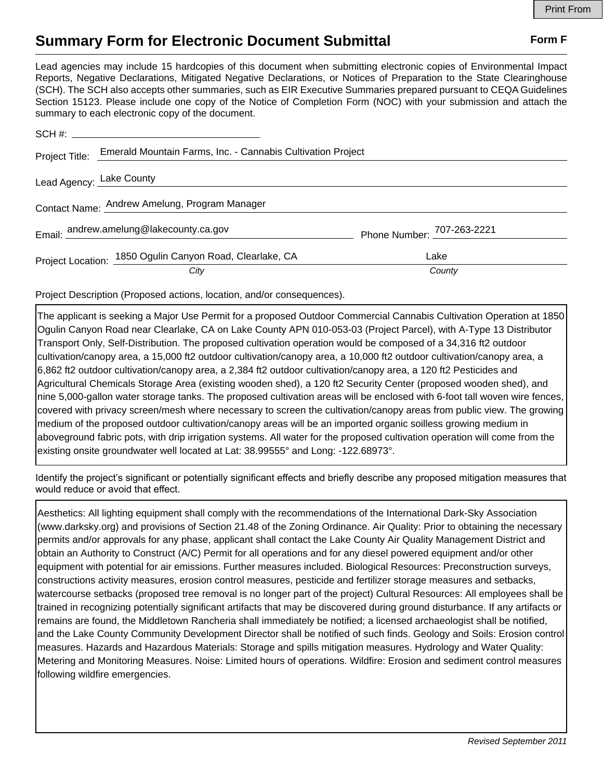## **Summary Form for Electronic Document Submittal Form F Form F**

Lead agencies may include 15 hardcopies of this document when submitting electronic copies of Environmental Impact Reports, Negative Declarations, Mitigated Negative Declarations, or Notices of Preparation to the State Clearinghouse (SCH). The SCH also accepts other summaries, such as EIR Executive Summaries prepared pursuant to CEQA Guidelines Section 15123. Please include one copy of the Notice of Completion Form (NOC) with your submission and attach the summary to each electronic copy of the document.

| Project Title:                                | Emerald Mountain Farms, Inc. - Cannabis Cultivation Project |                            |  |
|-----------------------------------------------|-------------------------------------------------------------|----------------------------|--|
| Lead Agency: Lake County                      |                                                             |                            |  |
| Contact Name: Andrew Amelung, Program Manager |                                                             |                            |  |
|                                               | Email: andrew.amelung@lakecounty.ca.gov                     | Phone Number: 707-263-2221 |  |
|                                               | Project Location: 1850 Ogulin Canyon Road, Clearlake, CA    | Lake                       |  |
|                                               | City                                                        | County                     |  |

Project Description (Proposed actions, location, and/or consequences).

The applicant is seeking a Major Use Permit for a proposed Outdoor Commercial Cannabis Cultivation Operation at 1850 Ogulin Canyon Road near Clearlake, CA on Lake County APN 010-053-03 (Project Parcel), with A-Type 13 Distributor Transport Only, Self-Distribution. The proposed cultivation operation would be composed of a 34,316 ft2 outdoor cultivation/canopy area, a 15,000 ft2 outdoor cultivation/canopy area, a 10,000 ft2 outdoor cultivation/canopy area, a 6,862 ft2 outdoor cultivation/canopy area, a 2,384 ft2 outdoor cultivation/canopy area, a 120 ft2 Pesticides and Agricultural Chemicals Storage Area (existing wooden shed), a 120 ft2 Security Center (proposed wooden shed), and nine 5,000-gallon water storage tanks. The proposed cultivation areas will be enclosed with 6-foot tall woven wire fences, covered with privacy screen/mesh where necessary to screen the cultivation/canopy areas from public view. The growing medium of the proposed outdoor cultivation/canopy areas will be an imported organic soilless growing medium in aboveground fabric pots, with drip irrigation systems. All water for the proposed cultivation operation will come from the Project Title: Emerald Mountain Farms, Inc. - Cannabis Cultivation Project<br>
Lead Agency: Lake County<br>
Contact Name: Andrew Amelung, Program Manager<br>
Frail: andrew.amelung@lakecounty.ca.gov<br>
Project Location: 1850 Ogulin Ca

Identify the project's significant or potentially significant effects and briefly describe any proposed mitigation measures that would reduce or avoid that effect.

Aesthetics: All lighting equipment shall comply with the recommendations of the International Dark-Sky Association (www.darksky.org) and provisions of Section 21.48 of the Zoning Ordinance. Air Quality: Prior to obtaining the necessary permits and/or approvals for any phase, applicant shall contact the Lake County Air Quality Management District and obtain an Authority to Construct (A/C) Permit for all operations and for any diesel powered equipment and/or other equipment with potential for air emissions. Further measures included. Biological Resources: Preconstruction surveys, constructions activity measures, erosion control measures, pesticide and fertilizer storage measures and setbacks, watercourse setbacks (proposed tree removal is no longer part of the project) Cultural Resources: All employees shall be trained in recognizing potentially significant artifacts that may be discovered during ground disturbance. If any artifacts or remains are found, the Middletown Rancheria shall immediately be notified; a licensed archaeologist shall be notified, and the Lake County Community Development Director shall be notified of such finds. Geology and Soils: Erosion control measures. Hazards and Hazardous Materials: Storage and spills mitigation measures. Hydrology and Water Quality: Metering and Monitoring Measures. Noise: Limited hours of operations. Wildfire: Erosion and sediment control measures following wildfire emergencies.